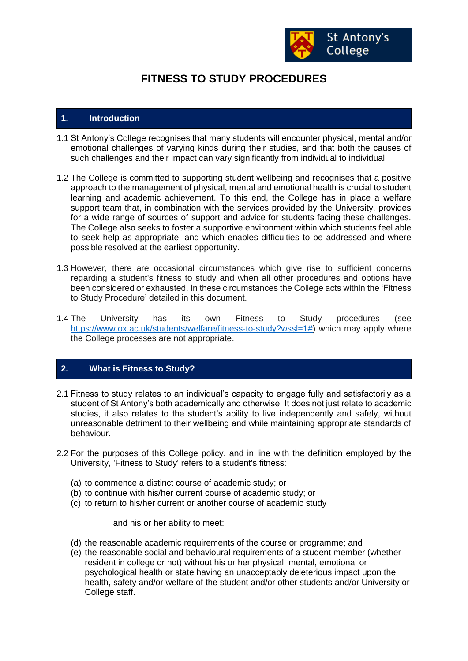

# **FITNESS TO STUDY PROCEDURES**

### **1. Introduction**

- 1.1 St Antony's College recognises that many students will encounter physical, mental and/or emotional challenges of varying kinds during their studies, and that both the causes of such challenges and their impact can vary significantly from individual to individual.
- 1.2 The College is committed to supporting student wellbeing and recognises that a positive approach to the management of physical, mental and emotional health is crucial to student learning and academic achievement. To this end, the College has in place a welfare support team that, in combination with the services provided by the University, provides for a wide range of sources of support and advice for students facing these challenges. The College also seeks to foster a supportive environment within which students feel able to seek help as appropriate, and which enables difficulties to be addressed and where possible resolved at the earliest opportunity.
- 1.3 However, there are occasional circumstances which give rise to sufficient concerns regarding a student's fitness to study and when all other procedures and options have been considered or exhausted. In these circumstances the College acts within the 'Fitness to Study Procedure' detailed in this document.
- 1.4 The University has its own Fitness to Study procedures (see [https://www.ox.ac.uk/students/welfare/fitness-to-study?wssl=1#\)](https://www.ox.ac.uk/students/welfare/fitness-to-study?wssl=1) which may apply where the College processes are not appropriate.

## **2. What is Fitness to Study?**

- 2.1 Fitness to study relates to an individual's capacity to engage fully and satisfactorily as a student of St Antony's both academically and otherwise. It does not just relate to academic studies, it also relates to the student's ability to live independently and safely, without unreasonable detriment to their wellbeing and while maintaining appropriate standards of behaviour.
- 2.2 For the purposes of this College policy, and in line with the definition employed by the University, 'Fitness to Study' refers to a student's fitness:
	- (a) to commence a distinct course of academic study; or
	- (b) to continue with his/her current course of academic study; or
	- (c) to return to his/her current or another course of academic study

and his or her ability to meet:

- (d) the reasonable academic requirements of the course or programme; and
- (e) the reasonable social and behavioural requirements of a student member (whether resident in college or not) without his or her physical, mental, emotional or psychological health or state having an unacceptably deleterious impact upon the health, safety and/or welfare of the student and/or other students and/or University or College staff.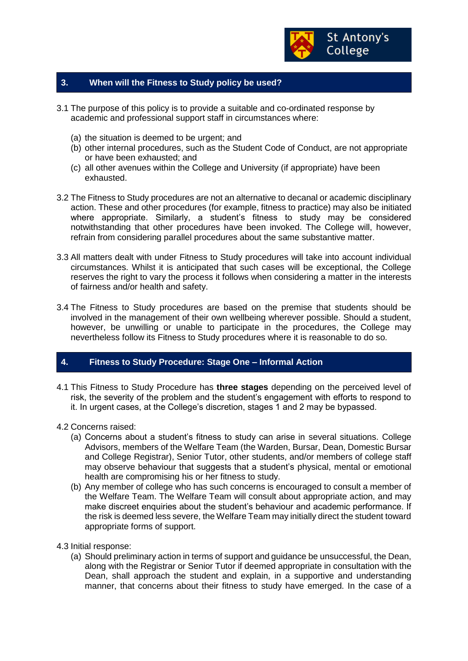

## **3. When will the Fitness to Study policy be used?**

- 3.1 The purpose of this policy is to provide a suitable and co-ordinated response by academic and professional support staff in circumstances where:
	- (a) the situation is deemed to be urgent; and
	- (b) other internal procedures, such as the Student Code of Conduct, are not appropriate or have been exhausted; and
	- (c) all other avenues within the College and University (if appropriate) have been exhausted.
- 3.2 The Fitness to Study procedures are not an alternative to decanal or academic disciplinary action. These and other procedures (for example, fitness to practice) may also be initiated where appropriate. Similarly, a student's fitness to study may be considered notwithstanding that other procedures have been invoked. The College will, however, refrain from considering parallel procedures about the same substantive matter.
- 3.3 All matters dealt with under Fitness to Study procedures will take into account individual circumstances. Whilst it is anticipated that such cases will be exceptional, the College reserves the right to vary the process it follows when considering a matter in the interests of fairness and/or health and safety.
- 3.4 The Fitness to Study procedures are based on the premise that students should be involved in the management of their own wellbeing wherever possible. Should a student, however, be unwilling or unable to participate in the procedures, the College may nevertheless follow its Fitness to Study procedures where it is reasonable to do so.

### **4. Fitness to Study Procedure: Stage One – Informal Action**

- 4.1 This Fitness to Study Procedure has **three stages** depending on the perceived level of risk, the severity of the problem and the student's engagement with efforts to respond to it. In urgent cases, at the College's discretion, stages 1 and 2 may be bypassed.
- 4.2 Concerns raised:
	- (a) Concerns about a student's fitness to study can arise in several situations. College Advisors, members of the Welfare Team (the Warden, Bursar, Dean, Domestic Bursar and College Registrar), Senior Tutor, other students, and/or members of college staff may observe behaviour that suggests that a student's physical, mental or emotional health are compromising his or her fitness to study.
	- (b) Any member of college who has such concerns is encouraged to consult a member of the Welfare Team. The Welfare Team will consult about appropriate action, and may make discreet enquiries about the student's behaviour and academic performance. If the risk is deemed less severe, the Welfare Team may initially direct the student toward appropriate forms of support.
- 4.3 Initial response:
	- (a) Should preliminary action in terms of support and guidance be unsuccessful, the Dean, along with the Registrar or Senior Tutor if deemed appropriate in consultation with the Dean, shall approach the student and explain, in a supportive and understanding manner, that concerns about their fitness to study have emerged. In the case of a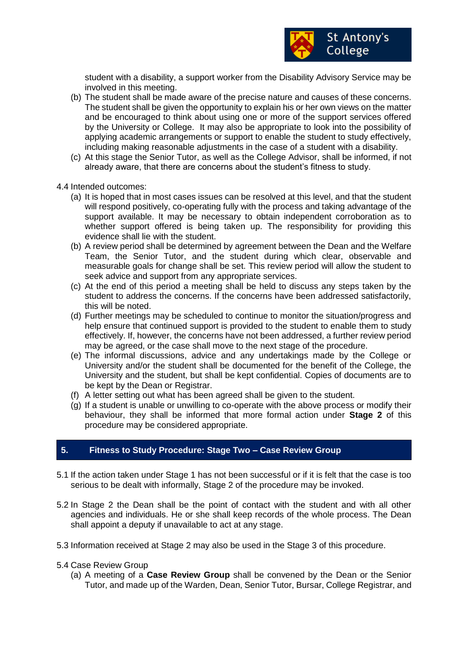

student with a disability, a support worker from the Disability Advisory Service may be involved in this meeting.

- (b) The student shall be made aware of the precise nature and causes of these concerns. The student shall be given the opportunity to explain his or her own views on the matter and be encouraged to think about using one or more of the support services offered by the University or College. It may also be appropriate to look into the possibility of applying academic arrangements or support to enable the student to study effectively, including making reasonable adjustments in the case of a student with a disability.
- (c) At this stage the Senior Tutor, as well as the College Advisor, shall be informed, if not already aware, that there are concerns about the student's fitness to study.
- 4.4 Intended outcomes:
	- (a) It is hoped that in most cases issues can be resolved at this level, and that the student will respond positively, co-operating fully with the process and taking advantage of the support available. It may be necessary to obtain independent corroboration as to whether support offered is being taken up. The responsibility for providing this evidence shall lie with the student.
	- (b) A review period shall be determined by agreement between the Dean and the Welfare Team, the Senior Tutor, and the student during which clear, observable and measurable goals for change shall be set. This review period will allow the student to seek advice and support from any appropriate services.
	- (c) At the end of this period a meeting shall be held to discuss any steps taken by the student to address the concerns. If the concerns have been addressed satisfactorily, this will be noted.
	- (d) Further meetings may be scheduled to continue to monitor the situation/progress and help ensure that continued support is provided to the student to enable them to study effectively. If, however, the concerns have not been addressed, a further review period may be agreed, or the case shall move to the next stage of the procedure.
	- (e) The informal discussions, advice and any undertakings made by the College or University and/or the student shall be documented for the benefit of the College, the University and the student, but shall be kept confidential. Copies of documents are to be kept by the Dean or Registrar.
	- (f) A letter setting out what has been agreed shall be given to the student.
	- (g) If a student is unable or unwilling to co-operate with the above process or modify their behaviour, they shall be informed that more formal action under **Stage 2** of this procedure may be considered appropriate.

## **5. Fitness to Study Procedure: Stage Two – Case Review Group**

- 5.1 If the action taken under Stage 1 has not been successful or if it is felt that the case is too serious to be dealt with informally, Stage 2 of the procedure may be invoked.
- 5.2 In Stage 2 the Dean shall be the point of contact with the student and with all other agencies and individuals. He or she shall keep records of the whole process. The Dean shall appoint a deputy if unavailable to act at any stage.
- 5.3 Information received at Stage 2 may also be used in the Stage 3 of this procedure.
- 5.4 Case Review Group
	- (a) A meeting of a **Case Review Group** shall be convened by the Dean or the Senior Tutor, and made up of the Warden, Dean, Senior Tutor, Bursar, College Registrar, and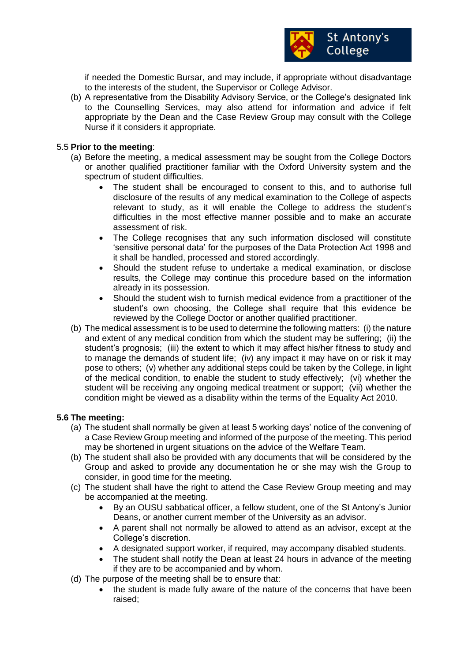

if needed the Domestic Bursar, and may include, if appropriate without disadvantage to the interests of the student, the Supervisor or College Advisor.

(b) A representative from the Disability Advisory Service, or the College's designated link to the Counselling Services, may also attend for information and advice if felt appropriate by the Dean and the Case Review Group may consult with the College Nurse if it considers it appropriate.

### 5.5 **Prior to the meeting**:

- (a) Before the meeting, a medical assessment may be sought from the College Doctors or another qualified practitioner familiar with the Oxford University system and the spectrum of student difficulties.
	- The student shall be encouraged to consent to this, and to authorise full disclosure of the results of any medical examination to the College of aspects relevant to study, as it will enable the College to address the student's difficulties in the most effective manner possible and to make an accurate assessment of risk.
	- The College recognises that any such information disclosed will constitute 'sensitive personal data' for the purposes of the Data Protection Act 1998 and it shall be handled, processed and stored accordingly.
	- Should the student refuse to undertake a medical examination, or disclose results, the College may continue this procedure based on the information already in its possession.
	- Should the student wish to furnish medical evidence from a practitioner of the student's own choosing, the College shall require that this evidence be reviewed by the College Doctor or another qualified practitioner.
- (b) The medical assessment is to be used to determine the following matters: (i) the nature and extent of any medical condition from which the student may be suffering; (ii) the student's prognosis; (iii) the extent to which it may affect his/her fitness to study and to manage the demands of student life; (iv) any impact it may have on or risk it may pose to others; (v) whether any additional steps could be taken by the College, in light of the medical condition, to enable the student to study effectively; (vi) whether the student will be receiving any ongoing medical treatment or support; (vii) whether the condition might be viewed as a disability within the terms of the Equality Act 2010.

### **5.6 The meeting:**

- (a) The student shall normally be given at least 5 working days' notice of the convening of a Case Review Group meeting and informed of the purpose of the meeting. This period may be shortened in urgent situations on the advice of the Welfare Team.
- (b) The student shall also be provided with any documents that will be considered by the Group and asked to provide any documentation he or she may wish the Group to consider, in good time for the meeting.
- (c) The student shall have the right to attend the Case Review Group meeting and may be accompanied at the meeting.
	- By an OUSU sabbatical officer, a fellow student, one of the St Antony's Junior Deans, or another current member of the University as an advisor.
	- A parent shall not normally be allowed to attend as an advisor, except at the College's discretion.
	- A designated support worker, if required, may accompany disabled students.
	- The student shall notify the Dean at least 24 hours in advance of the meeting if they are to be accompanied and by whom.
- (d) The purpose of the meeting shall be to ensure that:
	- the student is made fully aware of the nature of the concerns that have been raised;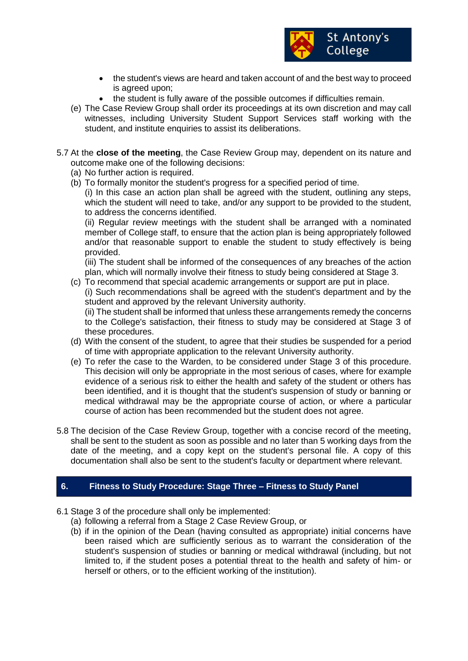

- the student's views are heard and taken account of and the best way to proceed is agreed upon;
- the student is fully aware of the possible outcomes if difficulties remain.
- (e) The Case Review Group shall order its proceedings at its own discretion and may call witnesses, including University Student Support Services staff working with the student, and institute enquiries to assist its deliberations.
- 5.7 At the **close of the meeting**, the Case Review Group may, dependent on its nature and outcome make one of the following decisions:
	- (a) No further action is required.
	- (b) To formally monitor the student's progress for a specified period of time.

(i) In this case an action plan shall be agreed with the student, outlining any steps, which the student will need to take, and/or any support to be provided to the student, to address the concerns identified.

(ii) Regular review meetings with the student shall be arranged with a nominated member of College staff, to ensure that the action plan is being appropriately followed and/or that reasonable support to enable the student to study effectively is being provided.

(iii) The student shall be informed of the consequences of any breaches of the action plan, which will normally involve their fitness to study being considered at Stage 3.

(c) To recommend that special academic arrangements or support are put in place.

(i) Such recommendations shall be agreed with the student's department and by the student and approved by the relevant University authority.

(ii) The student shall be informed that unless these arrangements remedy the concerns to the College's satisfaction, their fitness to study may be considered at Stage 3 of these procedures.

- (d) With the consent of the student, to agree that their studies be suspended for a period of time with appropriate application to the relevant University authority.
- (e) To refer the case to the Warden, to be considered under Stage 3 of this procedure. This decision will only be appropriate in the most serious of cases, where for example evidence of a serious risk to either the health and safety of the student or others has been identified, and it is thought that the student's suspension of study or banning or medical withdrawal may be the appropriate course of action, or where a particular course of action has been recommended but the student does not agree.
- 5.8 The decision of the Case Review Group, together with a concise record of the meeting, shall be sent to the student as soon as possible and no later than 5 working days from the date of the meeting, and a copy kept on the student's personal file. A copy of this documentation shall also be sent to the student's faculty or department where relevant.

## **6. Fitness to Study Procedure: Stage Three – Fitness to Study Panel**

- 6.1 Stage 3 of the procedure shall only be implemented:
	- (a) following a referral from a Stage 2 Case Review Group, or
	- (b) if in the opinion of the Dean (having consulted as appropriate) initial concerns have been raised which are sufficiently serious as to warrant the consideration of the student's suspension of studies or banning or medical withdrawal (including, but not limited to, if the student poses a potential threat to the health and safety of him- or herself or others, or to the efficient working of the institution).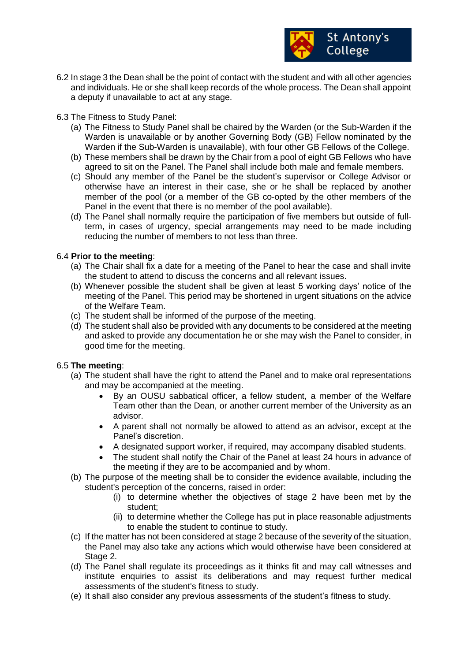

- 6.2 In stage 3 the Dean shall be the point of contact with the student and with all other agencies and individuals. He or she shall keep records of the whole process. The Dean shall appoint a deputy if unavailable to act at any stage.
- 6.3 The Fitness to Study Panel:
	- (a) The Fitness to Study Panel shall be chaired by the Warden (or the Sub-Warden if the Warden is unavailable or by another Governing Body (GB) Fellow nominated by the Warden if the Sub-Warden is unavailable), with four other GB Fellows of the College.
	- (b) These members shall be drawn by the Chair from a pool of eight GB Fellows who have agreed to sit on the Panel. The Panel shall include both male and female members.
	- (c) Should any member of the Panel be the student's supervisor or College Advisor or otherwise have an interest in their case, she or he shall be replaced by another member of the pool (or a member of the GB co-opted by the other members of the Panel in the event that there is no member of the pool available).
	- (d) The Panel shall normally require the participation of five members but outside of fullterm, in cases of urgency, special arrangements may need to be made including reducing the number of members to not less than three.

## 6.4 **Prior to the meeting**:

- (a) The Chair shall fix a date for a meeting of the Panel to hear the case and shall invite the student to attend to discuss the concerns and all relevant issues.
- (b) Whenever possible the student shall be given at least 5 working days' notice of the meeting of the Panel. This period may be shortened in urgent situations on the advice of the Welfare Team.
- (c) The student shall be informed of the purpose of the meeting.
- (d) The student shall also be provided with any documents to be considered at the meeting and asked to provide any documentation he or she may wish the Panel to consider, in good time for the meeting.

### 6.5 **The meeting**:

- (a) The student shall have the right to attend the Panel and to make oral representations and may be accompanied at the meeting.
	- By an OUSU sabbatical officer, a fellow student, a member of the Welfare Team other than the Dean, or another current member of the University as an advisor.
	- A parent shall not normally be allowed to attend as an advisor, except at the Panel's discretion.
	- A designated support worker, if required, may accompany disabled students.
	- The student shall notify the Chair of the Panel at least 24 hours in advance of the meeting if they are to be accompanied and by whom.
- (b) The purpose of the meeting shall be to consider the evidence available, including the student's perception of the concerns, raised in order:
	- (i) to determine whether the objectives of stage 2 have been met by the student;
	- (ii) to determine whether the College has put in place reasonable adjustments to enable the student to continue to study.
- (c) If the matter has not been considered at stage 2 because of the severity of the situation, the Panel may also take any actions which would otherwise have been considered at Stage 2.
- (d) The Panel shall regulate its proceedings as it thinks fit and may call witnesses and institute enquiries to assist its deliberations and may request further medical assessments of the student's fitness to study.
- (e) It shall also consider any previous assessments of the student's fitness to study.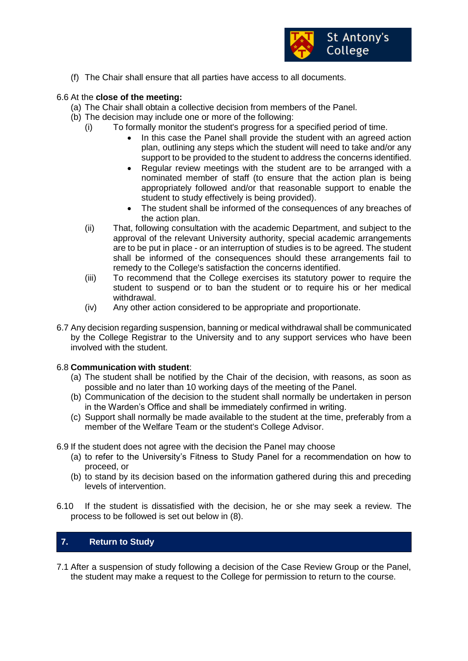

(f) The Chair shall ensure that all parties have access to all documents.

## 6.6 At the **close of the meeting:**

- (a) The Chair shall obtain a collective decision from members of the Panel.
- (b) The decision may include one or more of the following:
	- (i) To formally monitor the student's progress for a specified period of time.
		- In this case the Panel shall provide the student with an agreed action plan, outlining any steps which the student will need to take and/or any support to be provided to the student to address the concerns identified.
		- Regular review meetings with the student are to be arranged with a nominated member of staff (to ensure that the action plan is being appropriately followed and/or that reasonable support to enable the student to study effectively is being provided).
		- The student shall be informed of the consequences of any breaches of the action plan.
		- (ii) That, following consultation with the academic Department, and subject to the approval of the relevant University authority, special academic arrangements are to be put in place - or an interruption of studies is to be agreed. The student shall be informed of the consequences should these arrangements fail to remedy to the College's satisfaction the concerns identified.
		- (iii) To recommend that the College exercises its statutory power to require the student to suspend or to ban the student or to require his or her medical withdrawal.
		- (iv) Any other action considered to be appropriate and proportionate.
- 6.7 Any decision regarding suspension, banning or medical withdrawal shall be communicated by the College Registrar to the University and to any support services who have been involved with the student.

### 6.8 **Communication with student**:

- (a) The student shall be notified by the Chair of the decision, with reasons, as soon as possible and no later than 10 working days of the meeting of the Panel.
- (b) Communication of the decision to the student shall normally be undertaken in person in the Warden's Office and shall be immediately confirmed in writing.
- (c) Support shall normally be made available to the student at the time, preferably from a member of the Welfare Team or the student's College Advisor.
- 6.9 If the student does not agree with the decision the Panel may choose
	- (a) to refer to the University's Fitness to Study Panel for a recommendation on how to proceed, or
	- (b) to stand by its decision based on the information gathered during this and preceding levels of intervention.
- 6.10 If the student is dissatisfied with the decision, he or she may seek a review. The process to be followed is set out below in (8).

# **7. Return to Study**

7.1 After a suspension of study following a decision of the Case Review Group or the Panel, the student may make a request to the College for permission to return to the course.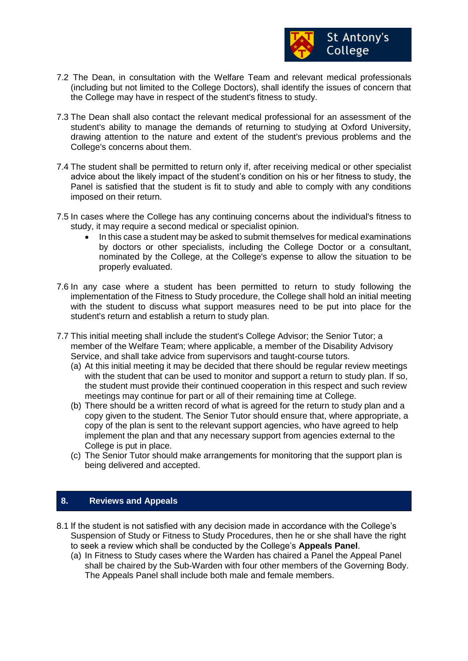

- 7.2 The Dean, in consultation with the Welfare Team and relevant medical professionals (including but not limited to the College Doctors), shall identify the issues of concern that the College may have in respect of the student's fitness to study.
- 7.3 The Dean shall also contact the relevant medical professional for an assessment of the student's ability to manage the demands of returning to studying at Oxford University, drawing attention to the nature and extent of the student's previous problems and the College's concerns about them.
- 7.4 The student shall be permitted to return only if, after receiving medical or other specialist advice about the likely impact of the student's condition on his or her fitness to study, the Panel is satisfied that the student is fit to study and able to comply with any conditions imposed on their return.
- 7.5 In cases where the College has any continuing concerns about the individual's fitness to study, it may require a second medical or specialist opinion.
	- In this case a student may be asked to submit themselves for medical examinations by doctors or other specialists, including the College Doctor or a consultant, nominated by the College, at the College's expense to allow the situation to be properly evaluated.
- 7.6 In any case where a student has been permitted to return to study following the implementation of the Fitness to Study procedure, the College shall hold an initial meeting with the student to discuss what support measures need to be put into place for the student's return and establish a return to study plan.
- 7.7 This initial meeting shall include the student's College Advisor; the Senior Tutor; a member of the Welfare Team; where applicable, a member of the Disability Advisory Service, and shall take advice from supervisors and taught-course tutors.
	- (a) At this initial meeting it may be decided that there should be regular review meetings with the student that can be used to monitor and support a return to study plan. If so, the student must provide their continued cooperation in this respect and such review meetings may continue for part or all of their remaining time at College.
	- (b) There should be a written record of what is agreed for the return to study plan and a copy given to the student. The Senior Tutor should ensure that, where appropriate, a copy of the plan is sent to the relevant support agencies, who have agreed to help implement the plan and that any necessary support from agencies external to the College is put in place.
	- (c) The Senior Tutor should make arrangements for monitoring that the support plan is being delivered and accepted.

## **8. Reviews and Appeals**

- 8.1 If the student is not satisfied with any decision made in accordance with the College's Suspension of Study or Fitness to Study Procedures, then he or she shall have the right to seek a review which shall be conducted by the College's **Appeals Panel**.
	- (a) In Fitness to Study cases where the Warden has chaired a Panel the Appeal Panel shall be chaired by the Sub-Warden with four other members of the Governing Body. The Appeals Panel shall include both male and female members.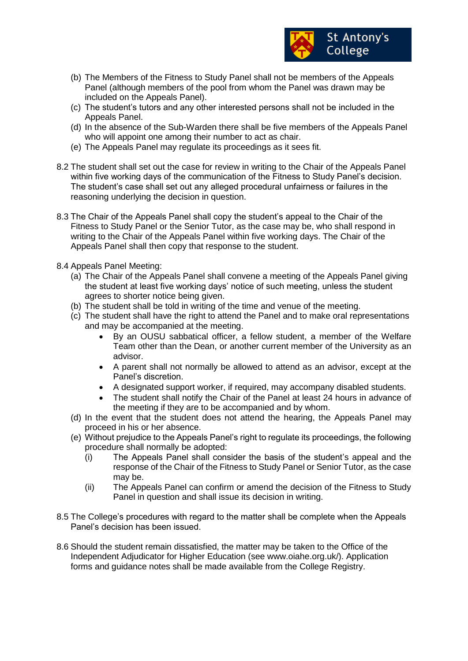

- (b) The Members of the Fitness to Study Panel shall not be members of the Appeals Panel (although members of the pool from whom the Panel was drawn may be included on the Appeals Panel).
- (c) The student's tutors and any other interested persons shall not be included in the Appeals Panel.
- (d) In the absence of the Sub-Warden there shall be five members of the Appeals Panel who will appoint one among their number to act as chair.
- (e) The Appeals Panel may regulate its proceedings as it sees fit.
- 8.2 The student shall set out the case for review in writing to the Chair of the Appeals Panel within five working days of the communication of the Fitness to Study Panel's decision. The student's case shall set out any alleged procedural unfairness or failures in the reasoning underlying the decision in question.
- 8.3 The Chair of the Appeals Panel shall copy the student's appeal to the Chair of the Fitness to Study Panel or the Senior Tutor, as the case may be, who shall respond in writing to the Chair of the Appeals Panel within five working days. The Chair of the Appeals Panel shall then copy that response to the student.
- 8.4 Appeals Panel Meeting:
	- (a) The Chair of the Appeals Panel shall convene a meeting of the Appeals Panel giving the student at least five working days' notice of such meeting, unless the student agrees to shorter notice being given.
	- (b) The student shall be told in writing of the time and venue of the meeting.
	- (c) The student shall have the right to attend the Panel and to make oral representations and may be accompanied at the meeting.
		- By an OUSU sabbatical officer, a fellow student, a member of the Welfare Team other than the Dean, or another current member of the University as an advisor.
		- A parent shall not normally be allowed to attend as an advisor, except at the Panel's discretion.
		- A designated support worker, if required, may accompany disabled students.
		- The student shall notify the Chair of the Panel at least 24 hours in advance of the meeting if they are to be accompanied and by whom.
	- (d) In the event that the student does not attend the hearing, the Appeals Panel may proceed in his or her absence.
	- (e) Without prejudice to the Appeals Panel's right to regulate its proceedings, the following procedure shall normally be adopted:
		- (i) The Appeals Panel shall consider the basis of the student's appeal and the response of the Chair of the Fitness to Study Panel or Senior Tutor, as the case may be.
		- (ii) The Appeals Panel can confirm or amend the decision of the Fitness to Study Panel in question and shall issue its decision in writing.
- 8.5 The College's procedures with regard to the matter shall be complete when the Appeals Panel's decision has been issued.
- 8.6 Should the student remain dissatisfied, the matter may be taken to the Office of the Independent Adjudicator for Higher Education (see www.oiahe.org.uk/). Application forms and guidance notes shall be made available from the College Registry.